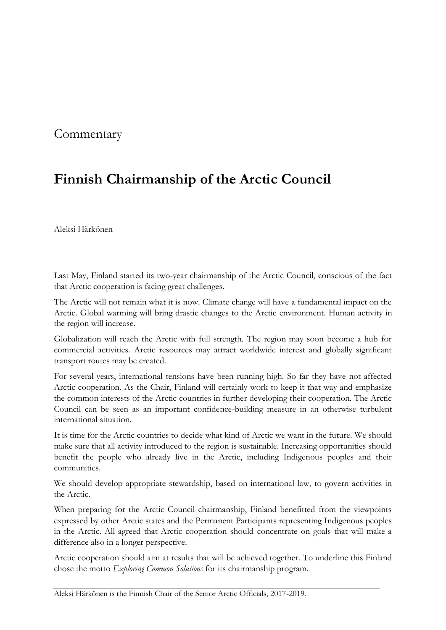## **Commentary**

## **Finnish Chairmanship of the Arctic Council**

Aleksi Härkönen

Last May, Finland started its two-year chairmanship of the Arctic Council, conscious of the fact that Arctic cooperation is facing great challenges.

The Arctic will not remain what it is now. Climate change will have a fundamental impact on the Arctic. Global warming will bring drastic changes to the Arctic environment. Human activity in the region will increase.

Globalization will reach the Arctic with full strength. The region may soon become a hub for commercial activities. Arctic resources may attract worldwide interest and globally significant transport routes may be created.

For several years, international tensions have been running high. So far they have not affected Arctic cooperation. As the Chair, Finland will certainly work to keep it that way and emphasize the common interests of the Arctic countries in further developing their cooperation. The Arctic Council can be seen as an important confidence-building measure in an otherwise turbulent international situation.

It is time for the Arctic countries to decide what kind of Arctic we want in the future. We should make sure that all activity introduced to the region is sustainable. Increasing opportunities should benefit the people who already live in the Arctic, including Indigenous peoples and their communities.

We should develop appropriate stewardship, based on international law, to govern activities in the Arctic.

When preparing for the Arctic Council chairmanship, Finland benefitted from the viewpoints expressed by other Arctic states and the Permanent Participants representing Indigenous peoples in the Arctic. All agreed that Arctic cooperation should concentrate on goals that will make a difference also in a longer perspective.

Arctic cooperation should aim at results that will be achieved together. To underline this Finland chose the motto *Exploring Common Solutions* for its chairmanship program.